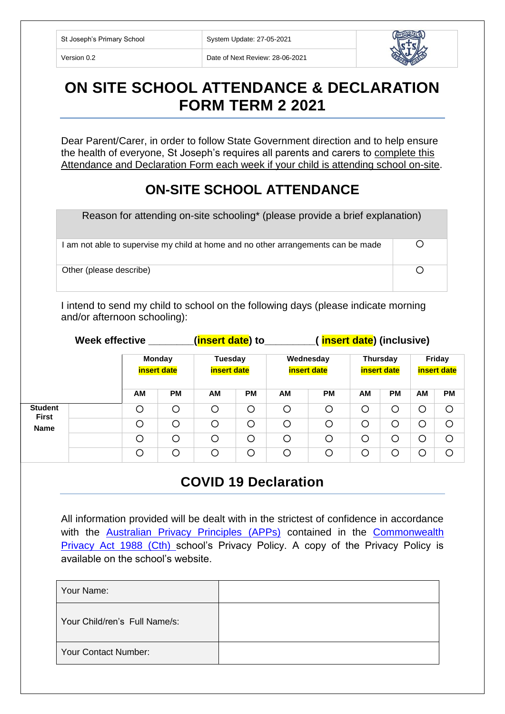St Joseph's Primary School System Update: 27-05-2021

Version 0.2 Date of Next Review: 28-06-2021



## **ON SITE SCHOOL ATTENDANCE & DECLARATION FORM TERM 2 2021**

Dear Parent/Carer, in order to follow State Government direction and to help ensure the health of everyone, St Joseph's requires all parents and carers to complete this Attendance and Declaration Form each week if your child is attending school on-site.

## **ON-SITE SCHOOL ATTENDANCE**

| Reason for attending on-site schooling* (please provide a brief explanation)      |  |  |  |  |
|-----------------------------------------------------------------------------------|--|--|--|--|
| I am not able to supervise my child at home and no other arrangements can be made |  |  |  |  |
| Other (please describe)                                                           |  |  |  |  |

I intend to send my child to school on the following days (please indicate morning and/or afternoon schooling):

|                                               | <b>Week effective</b> |                                     |           | ( <mark>insert date</mark> ) to |           |                                 | insert date) (inclusive) |                                |           |                              |           |
|-----------------------------------------------|-----------------------|-------------------------------------|-----------|---------------------------------|-----------|---------------------------------|--------------------------|--------------------------------|-----------|------------------------------|-----------|
|                                               |                       | <b>Monday</b><br><b>insert date</b> |           | Tuesday<br><b>insert date</b>   |           | Wednesday<br><b>insert date</b> |                          | <b>Thursday</b><br>insert date |           | Friday<br><b>insert date</b> |           |
|                                               |                       | АM                                  | <b>PM</b> | <b>AM</b>                       | <b>PM</b> | <b>AM</b>                       | <b>PM</b>                | AM                             | <b>PM</b> | AM                           | <b>PM</b> |
| <b>Student</b><br><b>First</b><br><b>Name</b> |                       | O                                   | $\circ$   | O                               | O         | O                               | O                        | $\circ$                        | C         | O                            | $\circ$   |
|                                               |                       | O                                   | O         | O                               | O         | O                               | O                        | $\circ$                        | C         | O                            | $\circ$   |
|                                               |                       | O                                   | $\circ$   | O                               | $\circ$   | O                               | O                        | $\circ$                        | С         | O                            | $\circ$   |
|                                               |                       | O                                   | O         | O                               | O         | O                               | O                        | $\circ$                        | С         | О                            | $\circ$   |

## **COVID 19 Declaration**

All information provided will be dealt with in the strictest of confidence in accordance with the **Australian Privacy Principles** (APPs) contained in the **Commonwealth** [Privacy Act 1988 \(Cth\)](http://www8.austlii.edu.au/cgi-bin/viewdb/au/legis/cth/consol_act/pa1988108/) school's Privacy Policy. A copy of the Privacy Policy is available on the school's website.